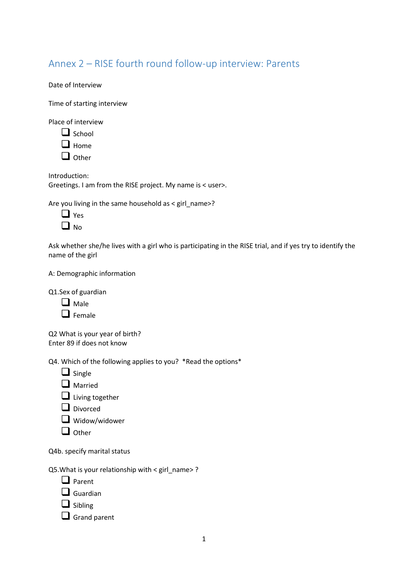# Annex 2 – RISE fourth round follow-up interview: Parents

Date of Interview

Time of starting interview

Place of interview

| $\Box$ School |
|---------------|
| $\Box$ Home   |

❑ Other

Introduction: Greetings. I am from the RISE project. My name is < user>.

Are you living in the same household as  $\le$  girl\_name>?

| ı      | es<br>Υ |
|--------|---------|
| L<br>I | NΩ      |

Ask whether she/he lives with a girl who is participating in the RISE trial, and if yes try to identify the name of the girl

A: Demographic information

Q1.Sex of guardian

| Male |
|------|
|------|

❑ Female

Q2 What is your year of birth? Enter 89 if does not know

Q4. Which of the following applies to you? \*Read the options\*

❑ Single

❑ Married

❑ Living together

❑ Divorced

❑ Widow/widower

❑ Other

Q4b. specify marital status

Q5. What is your relationship with  $\le$  girl name  $>$  ?

❑ Parent

❑ Guardian

- ❑ Sibling
- □ Grand parent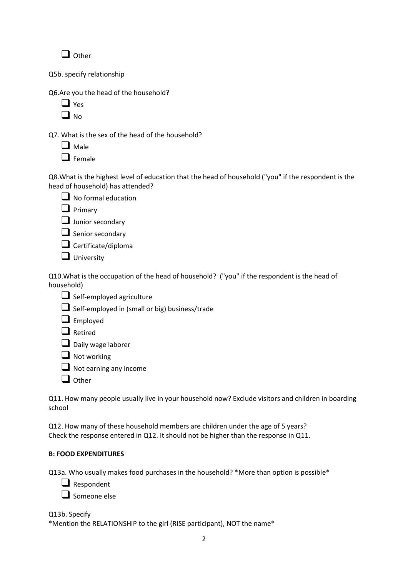❑ Other

Q5b. specify relationship

Q6.Are you the head of the household?

| ς<br>۳ |
|--------|
| G      |

Q7. What is the sex of the head of the household?

❑ Male

❑ Female

Q8.What is the highest level of education that the head of household ("you" if the respondent is the head of household) has attended?



 $\Box$  No formal education

❑ Primary

■ Junior secondary

❑ Senior secondary

❑ Certificate/diploma

❑ University

Q10.What is the occupation of the head of household? ("you" if the respondent is the head of household)

- ❑ Self-employed agriculture
- ❑ Self-employed in (small or big) business/trade
- ❑ Employed
- ❑ Retired

□ Daily wage laborer

❑ Not working

 $\Box$  Not earning any income

❑ Other

Q11. How many people usually live in your household now? Exclude visitors and children in boarding school

Q12. How many of these household members are children under the age of 5 years? Check the response entered in Q12. It should not be higher than the response in Q11.

# **B: FOOD EXPENDITURES**

Q13a. Who usually makes food purchases in the household? \*More than option is possible\*

❑ Respondent

❑ Someone else

Q13b. Specify

\*Mention the RELATIONSHIP to the girl (RISE participant), NOT the name\*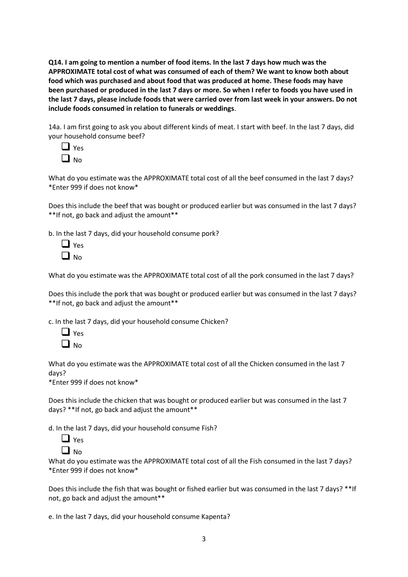**Q14. I am going to mention a number of food items. In the last 7 days how much was the APPROXIMATE total cost of what was consumed of each of them? We want to know both about food which was purchased and about food that was produced at home. These foods may have been purchased or produced in the last 7 days or more. So when I refer to foods you have used in the last 7 days, please include foods that were carried over from last week in your answers. Do not include foods consumed in relation to funerals or weddings**.

14a. I am first going to ask you about different kinds of meat. I start with beef. In the last 7 days, did your household consume beef?



What do you estimate was the APPROXIMATE total cost of all the beef consumed in the last 7 days? \*Enter 999 if does not know\*

Does this include the beef that was bought or produced earlier but was consumed in the last 7 days? \*\*If not, go back and adjust the amount\*\*

b. In the last 7 days, did your household consume pork?

| 1 | S<br>ρ |
|---|--------|
| L | No     |

What do you estimate was the APPROXIMATE total cost of all the pork consumed in the last 7 days?

Does this include the pork that was bought or produced earlier but was consumed in the last 7 days? \*\*If not, go back and adjust the amount\*\*

c. In the last 7 days, did your household consume Chicken?



What do you estimate was the APPROXIMATE total cost of all the Chicken consumed in the last 7 days?

\*Enter 999 if does not know\*

Does this include the chicken that was bought or produced earlier but was consumed in the last 7 days? \*\*If not, go back and adjust the amount\*\*

d. In the last 7 days, did your household consume Fish?



What do you estimate was the APPROXIMATE total cost of all the Fish consumed in the last 7 days? \*Enter 999 if does not know\*

Does this include the fish that was bought or fished earlier but was consumed in the last 7 days? \*\*If not, go back and adjust the amount\*\*

e. In the last 7 days, did your household consume Kapenta?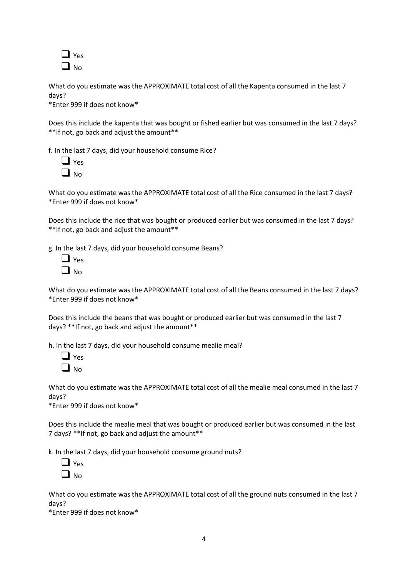

What do you estimate was the APPROXIMATE total cost of all the Kapenta consumed in the last 7 days?

\*Enter 999 if does not know\*

Does this include the kapenta that was bought or fished earlier but was consumed in the last 7 days? \*\*If not, go back and adjust the amount\*\*

f. In the last 7 days, did your household consume Rice?

| ς |
|---|
|   |

What do you estimate was the APPROXIMATE total cost of all the Rice consumed in the last 7 days? \*Enter 999 if does not know\*

Does this include the rice that was bought or produced earlier but was consumed in the last 7 days? \*\*If not, go back and adjust the amount\*\*

g. In the last 7 days, did your household consume Beans?

| 1 | es     |
|---|--------|
| L | o<br>N |

What do you estimate was the APPROXIMATE total cost of all the Beans consumed in the last 7 days? \*Enter 999 if does not know\*

Does this include the beans that was bought or produced earlier but was consumed in the last 7 days? \*\*If not, go back and adjust the amount\*\*

h. In the last 7 days, did your household consume mealie meal?

| ŝ<br>۳ |
|--------|
| n      |

What do you estimate was the APPROXIMATE total cost of all the mealie meal consumed in the last 7 days?

\*Enter 999 if does not know\*

Does this include the mealie meal that was bought or produced earlier but was consumed in the last 7 days? \*\*If not, go back and adjust the amount\*\*

k. In the last 7 days, did your household consume ground nuts?



What do you estimate was the APPROXIMATE total cost of all the ground nuts consumed in the last 7 days?

\*Enter 999 if does not know\*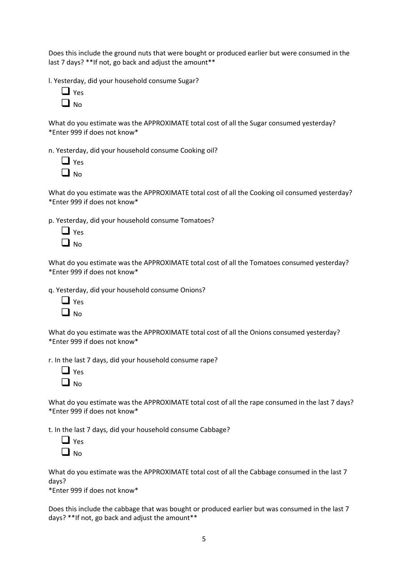Does this include the ground nuts that were bought or produced earlier but were consumed in the last 7 days? \*\*If not, go back and adjust the amount \*\*

l. Yesterday, did your household consume Sugar?

| ς<br>٠ |
|--------|
|        |

What do you estimate was the APPROXIMATE total cost of all the Sugar consumed yesterday? \*Enter 999 if does not know\*

n. Yesterday, did your household consume Cooking oil?

| ς |
|---|
|   |

What do you estimate was the APPROXIMATE total cost of all the Cooking oil consumed yesterday? \*Enter 999 if does not know\*

p. Yesterday, did your household consume Tomatoes?

| 1      | ς<br>e |
|--------|--------|
| L<br>L | N٥     |

What do you estimate was the APPROXIMATE total cost of all the Tomatoes consumed yesterday? \*Enter 999 if does not know\*

q. Yesterday, did your household consume Onions?

| ı | es |
|---|----|
| L | Nο |

What do you estimate was the APPROXIMATE total cost of all the Onions consumed yesterday? \*Enter 999 if does not know\*

r. In the last 7 days, did your household consume rape?

| c<br>۰ |
|--------|
|        |

What do you estimate was the APPROXIMATE total cost of all the rape consumed in the last 7 days? \*Enter 999 if does not know\*

t. In the last 7 days, did your household consume Cabbage?

| ۰S<br>≏ |
|---------|
| งก      |

What do you estimate was the APPROXIMATE total cost of all the Cabbage consumed in the last 7 days?

\*Enter 999 if does not know\*

Does this include the cabbage that was bought or produced earlier but was consumed in the last 7 days? \*\*If not, go back and adjust the amount\*\*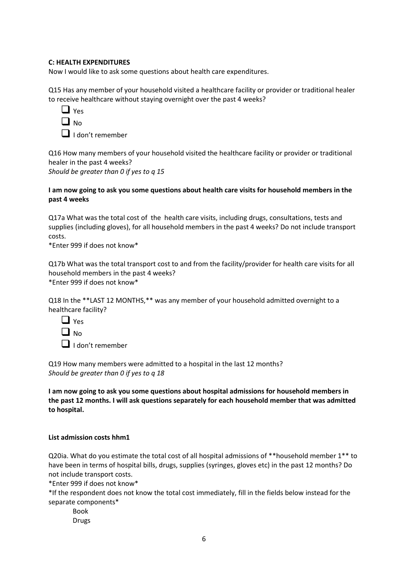# **C: HEALTH EXPENDITURES**

Now I would like to ask some questions about health care expenditures.

Q15 Has any member of your household visited a healthcare facility or provider or traditional healer to receive healthcare without staying overnight over the past 4 weeks?

| U. | es<br>Y. |
|----|----------|
| ⊔. | N٥       |
|    |          |

❑ I don't remember

Q16 How many members of your household visited the healthcare facility or provider or traditional healer in the past 4 weeks? *Should be greater than 0 if yes to q 15*

# **I am now going to ask you some questions about health care visits for household members in the past 4 weeks**

Q17a What was the total cost of the health care visits, including drugs, consultations, tests and supplies (including gloves), for all household members in the past 4 weeks? Do not include transport costs.

\*Enter 999 if does not know\*

Q17b What was the total transport cost to and from the facility/provider for health care visits for all household members in the past 4 weeks? \*Enter 999 if does not know\*

Q18 In the \*\*LAST 12 MONTHS,\*\* was any member of your household admitted overnight to a healthcare facility?



❑ I don't remember

Q19 How many members were admitted to a hospital in the last 12 months? *Should be greater than 0 if yes to q 18*

**I am now going to ask you some questions about hospital admissions for household members in the past 12 months. I will ask questions separately for each household member that was admitted to hospital.**

## **List admission costs hhm1**

Q20ia. What do you estimate the total cost of all hospital admissions of \*\*household member 1\*\* to have been in terms of hospital bills, drugs, supplies (syringes, gloves etc) in the past 12 months? Do not include transport costs.

\*Enter 999 if does not know\*

\*If the respondent does not know the total cost immediately, fill in the fields below instead for the separate components\*

Book Drugs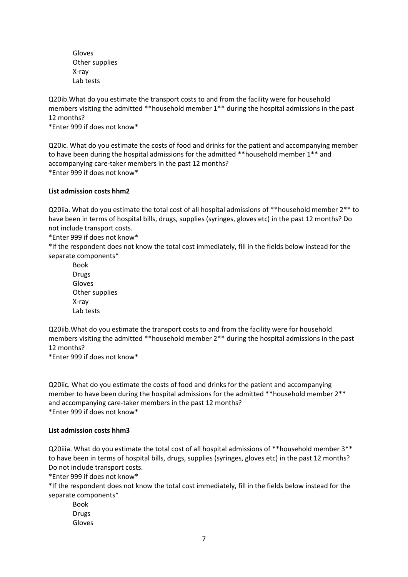Gloves Other supplies X-ray Lab tests

Q20ib.What do you estimate the transport costs to and from the facility were for household members visiting the admitted \*\*household member 1\*\* during the hospital admissions in the past 12 months?

\*Enter 999 if does not know\*

Q20ic. What do you estimate the costs of food and drinks for the patient and accompanying member to have been during the hospital admissions for the admitted \*\*household member 1\*\* and accompanying care-taker members in the past 12 months? \*Enter 999 if does not know\*

# **List admission costs hhm2**

Q20iia. What do you estimate the total cost of all hospital admissions of \*\*household member 2\*\* to have been in terms of hospital bills, drugs, supplies (syringes, gloves etc) in the past 12 months? Do not include transport costs.

\*Enter 999 if does not know\*

\*If the respondent does not know the total cost immediately, fill in the fields below instead for the separate components\*

Book Drugs Gloves Other supplies X-ray Lab tests

Q20iib.What do you estimate the transport costs to and from the facility were for household members visiting the admitted \*\*household member 2\*\* during the hospital admissions in the past 12 months?

\*Enter 999 if does not know\*

Q20iic. What do you estimate the costs of food and drinks for the patient and accompanying member to have been during the hospital admissions for the admitted \*\*household member 2\*\* and accompanying care-taker members in the past 12 months? \*Enter 999 if does not know\*

## **List admission costs hhm3**

Q20iiia. What do you estimate the total cost of all hospital admissions of \*\*household member 3\*\* to have been in terms of hospital bills, drugs, supplies (syringes, gloves etc) in the past 12 months? Do not include transport costs.

\*Enter 999 if does not know\*

\*If the respondent does not know the total cost immediately, fill in the fields below instead for the separate components\*

Book Drugs Gloves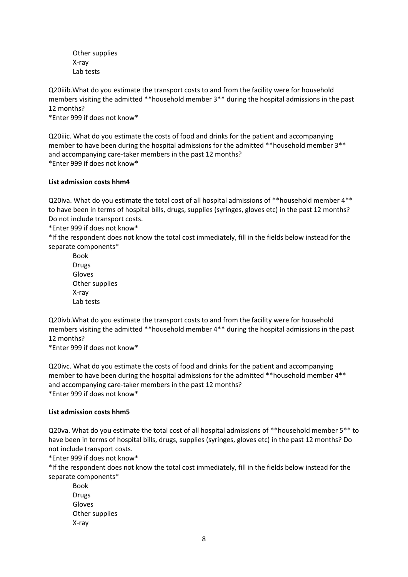Other supplies X-ray Lab tests

Q20iiib.What do you estimate the transport costs to and from the facility were for household members visiting the admitted \*\*household member 3\*\* during the hospital admissions in the past 12 months?

\*Enter 999 if does not know\*

Q20iiic. What do you estimate the costs of food and drinks for the patient and accompanying member to have been during the hospital admissions for the admitted \*\*household member 3\*\* and accompanying care-taker members in the past 12 months? \*Enter 999 if does not know\*

# **List admission costs hhm4**

Q20iva. What do you estimate the total cost of all hospital admissions of \*\*household member 4\*\* to have been in terms of hospital bills, drugs, supplies (syringes, gloves etc) in the past 12 months? Do not include transport costs.

\*Enter 999 if does not know\*

\*If the respondent does not know the total cost immediately, fill in the fields below instead for the separate components\*

Book Drugs Gloves Other supplies X-ray Lab tests

Q20ivb.What do you estimate the transport costs to and from the facility were for household members visiting the admitted \*\*household member 4\*\* during the hospital admissions in the past 12 months?

\*Enter 999 if does not know\*

Q20ivc. What do you estimate the costs of food and drinks for the patient and accompanying member to have been during the hospital admissions for the admitted \*\*household member 4\*\* and accompanying care-taker members in the past 12 months? \*Enter 999 if does not know\*

## **List admission costs hhm5**

Q20va. What do you estimate the total cost of all hospital admissions of \*\*household member 5\*\* to have been in terms of hospital bills, drugs, supplies (syringes, gloves etc) in the past 12 months? Do not include transport costs.

\*Enter 999 if does not know\*

\*If the respondent does not know the total cost immediately, fill in the fields below instead for the separate components\*

Book Drugs Gloves Other supplies X-ray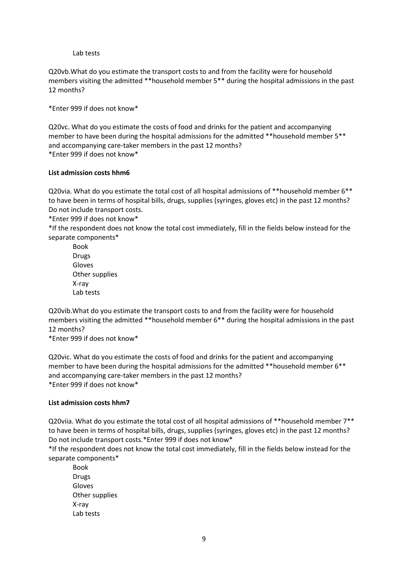### Lab tests

Q20vb.What do you estimate the transport costs to and from the facility were for household members visiting the admitted \*\*household member 5\*\* during the hospital admissions in the past 12 months?

\*Enter 999 if does not know\*

Q20vc. What do you estimate the costs of food and drinks for the patient and accompanying member to have been during the hospital admissions for the admitted \*\*household member 5\*\* and accompanying care-taker members in the past 12 months? \*Enter 999 if does not know\*

#### **List admission costs hhm6**

Q20via. What do you estimate the total cost of all hospital admissions of \*\*household member 6\*\* to have been in terms of hospital bills, drugs, supplies (syringes, gloves etc) in the past 12 months? Do not include transport costs.

\*Enter 999 if does not know\*

\*If the respondent does not know the total cost immediately, fill in the fields below instead for the separate components\*

Book Drugs Gloves Other supplies X-ray Lab tests

Q20vib.What do you estimate the transport costs to and from the facility were for household members visiting the admitted \*\*household member 6\*\* during the hospital admissions in the past 12 months?

\*Enter 999 if does not know\*

Q20vic. What do you estimate the costs of food and drinks for the patient and accompanying member to have been during the hospital admissions for the admitted \*\*household member 6\*\* and accompanying care-taker members in the past 12 months? \*Enter 999 if does not know\*

#### **List admission costs hhm7**

Q20viia. What do you estimate the total cost of all hospital admissions of \*\*household member 7\*\* to have been in terms of hospital bills, drugs, supplies (syringes, gloves etc) in the past 12 months? Do not include transport costs.\*Enter 999 if does not know\*

\*If the respondent does not know the total cost immediately, fill in the fields below instead for the separate components\*

Book Drugs Gloves Other supplies X-ray Lab tests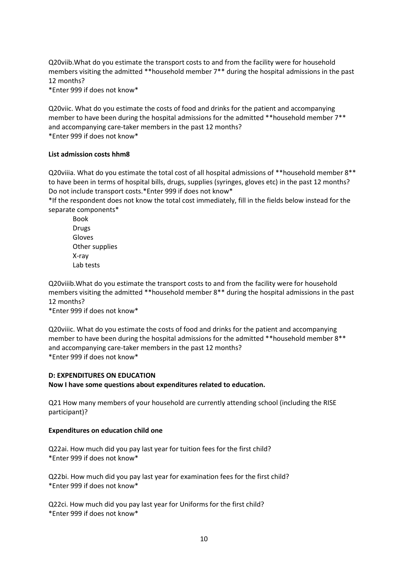Q20viib.What do you estimate the transport costs to and from the facility were for household members visiting the admitted \*\*household member 7\*\* during the hospital admissions in the past 12 months?

\*Enter 999 if does not know\*

Q20viic. What do you estimate the costs of food and drinks for the patient and accompanying member to have been during the hospital admissions for the admitted \*\*household member 7\*\* and accompanying care-taker members in the past 12 months? \*Enter 999 if does not know\*

## **List admission costs hhm8**

Q20viiia. What do you estimate the total cost of all hospital admissions of \*\*household member 8\*\* to have been in terms of hospital bills, drugs, supplies (syringes, gloves etc) in the past 12 months? Do not include transport costs.\*Enter 999 if does not know\*

\*If the respondent does not know the total cost immediately, fill in the fields below instead for the separate components\*

Book Drugs Gloves Other supplies X-ray Lab tests

Q20viiib.What do you estimate the transport costs to and from the facility were for household members visiting the admitted \*\*household member 8\*\* during the hospital admissions in the past 12 months?

\*Enter 999 if does not know\*

Q20viiic. What do you estimate the costs of food and drinks for the patient and accompanying member to have been during the hospital admissions for the admitted \*\*household member 8\*\* and accompanying care-taker members in the past 12 months? \*Enter 999 if does not know\*

## **D: EXPENDITURES ON EDUCATION**

**Now I have some questions about expenditures related to education.**

Q21 How many members of your household are currently attending school (including the RISE participant)?

## **Expenditures on education child one**

Q22ai. How much did you pay last year for tuition fees for the first child? \*Enter 999 if does not know\*

Q22bi. How much did you pay last year for examination fees for the first child? \*Enter 999 if does not know\*

Q22ci. How much did you pay last year for Uniforms for the first child? \*Enter 999 if does not know\*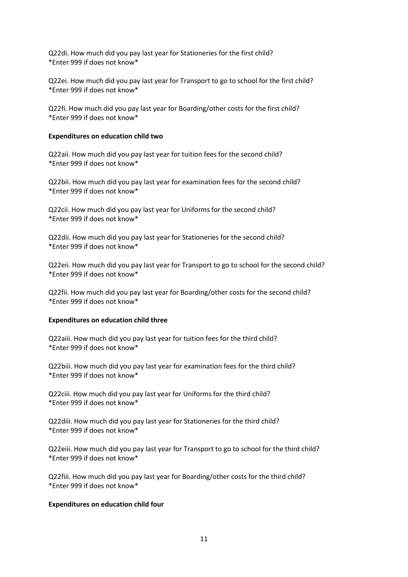Q22di. How much did you pay last year for Stationeries for the first child? \*Enter 999 if does not know\*

Q22ei. How much did you pay last year for Transport to go to school for the first child? \*Enter 999 if does not know\*

Q22fi. How much did you pay last year for Boarding/other costs for the first child? \*Enter 999 if does not know\*

### **Expenditures on education child two**

Q22aii. How much did you pay last year for tuition fees for the second child? \*Enter 999 if does not know\*

Q22bii. How much did you pay last year for examination fees for the second child? \*Enter 999 if does not know\*

Q22cii. How much did you pay last year for Uniforms for the second child? \*Enter 999 if does not know\*

Q22dii. How much did you pay last year for Stationeries for the second child? \*Enter 999 if does not know\*

Q22eii. How much did you pay last year for Transport to go to school for the second child? \*Enter 999 if does not know\*

Q22fii. How much did you pay last year for Boarding/other costs for the second child? \*Enter 999 if does not know\*

#### **Expenditures on education child three**

Q22aiii. How much did you pay last year for tuition fees for the third child? \*Enter 999 if does not know\*

Q22biii. How much did you pay last year for examination fees for the third child? \*Enter 999 if does not know\*

Q22ciii. How much did you pay last year for Uniforms for the third child? \*Enter 999 if does not know\*

Q22diii. How much did you pay last year for Stationeries for the third child? \*Enter 999 if does not know\*

Q22eiii. How much did you pay last year for Transport to go to school for the third child? \*Enter 999 if does not know\*

Q22fiii. How much did you pay last year for Boarding/other costs for the third child? \*Enter 999 if does not know\*

## **Expenditures on education child four**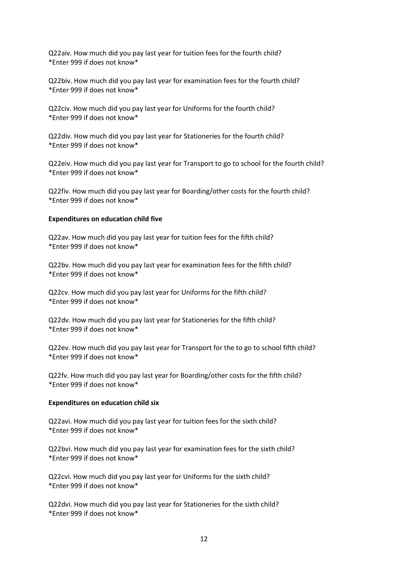Q22aiv. How much did you pay last year for tuition fees for the fourth child? \*Enter 999 if does not know\*

Q22biv. How much did you pay last year for examination fees for the fourth child? \*Enter 999 if does not know\*

Q22civ. How much did you pay last year for Uniforms for the fourth child? \*Enter 999 if does not know\*

Q22div. How much did you pay last year for Stationeries for the fourth child? \*Enter 999 if does not know\*

Q22eiv. How much did you pay last year for Transport to go to school for the fourth child? \*Enter 999 if does not know\*

Q22fiv. How much did you pay last year for Boarding/other costs for the fourth child? \*Enter 999 if does not know\*

#### **Expenditures on education child five**

Q22av. How much did you pay last year for tuition fees for the fifth child? \*Enter 999 if does not know\*

Q22bv. How much did you pay last year for examination fees for the fifth child? \*Enter 999 if does not know\*

Q22cv. How much did you pay last year for Uniforms for the fifth child? \*Enter 999 if does not know\*

Q22dv. How much did you pay last year for Stationeries for the fifth child? \*Enter 999 if does not know\*

Q22ev. How much did you pay last year for Transport for the to go to school fifth child? \*Enter 999 if does not know\*

Q22fv. How much did you pay last year for Boarding/other costs for the fifth child? \*Enter 999 if does not know\*

#### **Expenditures on education child six**

Q22avi. How much did you pay last year for tuition fees for the sixth child? \*Enter 999 if does not know\*

Q22bvi. How much did you pay last year for examination fees for the sixth child? \*Enter 999 if does not know\*

Q22cvi. How much did you pay last year for Uniforms for the sixth child? \*Enter 999 if does not know\*

Q22dvi. How much did you pay last year for Stationeries for the sixth child? \*Enter 999 if does not know\*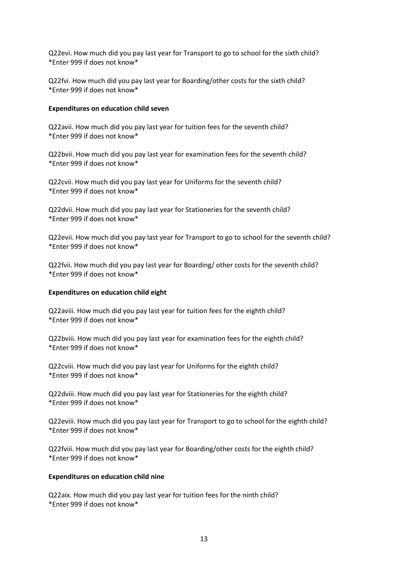Q22evi. How much did you pay last year for Transport to go to school for the sixth child? \*Enter 999 if does not know\*

Q22fvi. How much did you pay last year for Boarding/other costs for the sixth child? \*Enter 999 if does not know\*

## **Expenditures on education child seven**

Q22avii. How much did you pay last year for tuition fees for the seventh child? \*Enter 999 if does not know\*

Q22bvii. How much did you pay last year for examination fees for the seventh child? \*Enter 999 if does not know\*

Q22cvii. How much did you pay last year for Uniforms for the seventh child? \*Enter 999 if does not know\*

Q22dvii. How much did you pay last year for Stationeries for the seventh child? \*Enter 999 if does not know\*

Q22evii. How much did you pay last year for Transport to go to school for the seventh child? \*Enter 999 if does not know\*

Q22fvii. How much did you pay last year for Boarding/ other costs for the seventh child? \*Enter 999 if does not know\*

## **Expenditures on education child eight**

Q22aviii. How much did you pay last year for tuition fees for the eighth child? \*Enter 999 if does not know\*

Q22bviii. How much did you pay last year for examination fees for the eighth child? \*Enter 999 if does not know\*

Q22cviii. How much did you pay last year for Uniforms for the eighth child? \*Enter 999 if does not know\*

Q22dviii. How much did you pay last year for Stationeries for the eighth child? \*Enter 999 if does not know\*

Q22eviii. How much did you pay last year for Transport to go to school for the eighth child? \*Enter 999 if does not know\*

Q22fviii. How much did you pay last year for Boarding/other costs for the eighth child? \*Enter 999 if does not know\*

## **Expenditures on education child nine**

Q22aix. How much did you pay last year for tuition fees for the ninth child? \*Enter 999 if does not know\*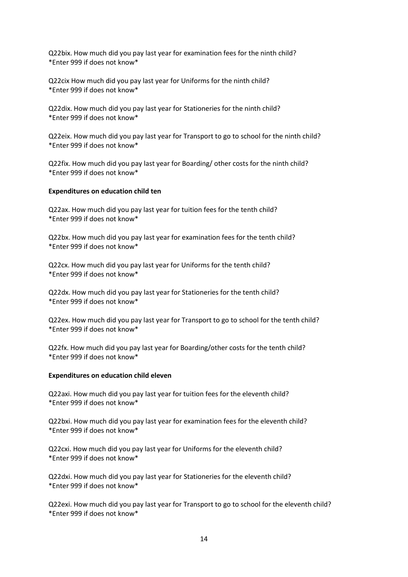Q22bix. How much did you pay last year for examination fees for the ninth child? \*Enter 999 if does not know\*

Q22cix How much did you pay last year for Uniforms for the ninth child? \*Enter 999 if does not know\*

Q22dix. How much did you pay last year for Stationeries for the ninth child? \*Enter 999 if does not know\*

Q22eix. How much did you pay last year for Transport to go to school for the ninth child? \*Enter 999 if does not know\*

Q22fix. How much did you pay last year for Boarding/ other costs for the ninth child? \*Enter 999 if does not know\*

## **Expenditures on education child ten**

Q22ax. How much did you pay last year for tuition fees for the tenth child? \*Enter 999 if does not know\*

Q22bx. How much did you pay last year for examination fees for the tenth child? \*Enter 999 if does not know\*

Q22cx. How much did you pay last year for Uniforms for the tenth child? \*Enter 999 if does not know\*

Q22dx. How much did you pay last year for Stationeries for the tenth child? \*Enter 999 if does not know\*

Q22ex. How much did you pay last year for Transport to go to school for the tenth child? \*Enter 999 if does not know\*

Q22fx. How much did you pay last year for Boarding/other costs for the tenth child? \*Enter 999 if does not know\*

## **Expenditures on education child eleven**

Q22axi. How much did you pay last year for tuition fees for the eleventh child? \*Enter 999 if does not know\*

Q22bxi. How much did you pay last year for examination fees for the eleventh child? \*Enter 999 if does not know\*

Q22cxi. How much did you pay last year for Uniforms for the eleventh child? \*Enter 999 if does not know\*

Q22dxi. How much did you pay last year for Stationeries for the eleventh child? \*Enter 999 if does not know\*

Q22exi. How much did you pay last year for Transport to go to school for the eleventh child? \*Enter 999 if does not know\*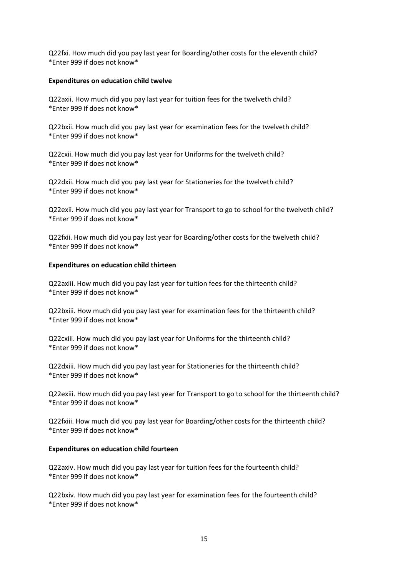Q22fxi. How much did you pay last year for Boarding/other costs for the eleventh child? \*Enter 999 if does not know\*

## **Expenditures on education child twelve**

Q22axii. How much did you pay last year for tuition fees for the twelveth child? \*Enter 999 if does not know\*

Q22bxii. How much did you pay last year for examination fees for the twelveth child? \*Enter 999 if does not know\*

Q22cxii. How much did you pay last year for Uniforms for the twelveth child? \*Enter 999 if does not know\*

Q22dxii. How much did you pay last year for Stationeries for the twelveth child? \*Enter 999 if does not know\*

Q22exii. How much did you pay last year for Transport to go to school for the twelveth child? \*Enter 999 if does not know\*

Q22fxii. How much did you pay last year for Boarding/other costs for the twelveth child? \*Enter 999 if does not know\*

## **Expenditures on education child thirteen**

Q22axiii. How much did you pay last year for tuition fees for the thirteenth child? \*Enter 999 if does not know\*

Q22bxiii. How much did you pay last year for examination fees for the thirteenth child? \*Enter 999 if does not know\*

Q22cxiii. How much did you pay last year for Uniforms for the thirteenth child? \*Enter 999 if does not know\*

Q22dxiii. How much did you pay last year for Stationeries for the thirteenth child? \*Enter 999 if does not know\*

Q22exiii. How much did you pay last year for Transport to go to school for the thirteenth child? \*Enter 999 if does not know\*

Q22fxiii. How much did you pay last year for Boarding/other costs for the thirteenth child? \*Enter 999 if does not know\*

## **Expenditures on education child fourteen**

Q22axiv. How much did you pay last year for tuition fees for the fourteenth child? \*Enter 999 if does not know\*

Q22bxiv. How much did you pay last year for examination fees for the fourteenth child? \*Enter 999 if does not know\*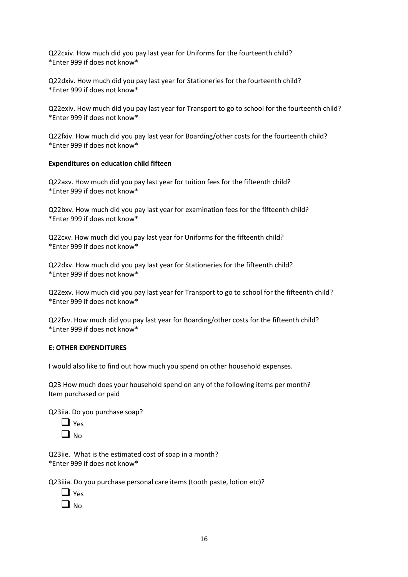Q22cxiv. How much did you pay last year for Uniforms for the fourteenth child? \*Enter 999 if does not know\*

Q22dxiv. How much did you pay last year for Stationeries for the fourteenth child? \*Enter 999 if does not know\*

Q22exiv. How much did you pay last year for Transport to go to school for the fourteenth child? \*Enter 999 if does not know\*

Q22fxiv. How much did you pay last year for Boarding/other costs for the fourteenth child? \*Enter 999 if does not know\*

# **Expenditures on education child fifteen**

Q22axv. How much did you pay last year for tuition fees for the fifteenth child? \*Enter 999 if does not know\*

Q22bxv. How much did you pay last year for examination fees for the fifteenth child? \*Enter 999 if does not know\*

Q22cxv. How much did you pay last year for Uniforms for the fifteenth child? \*Enter 999 if does not know\*

Q22dxv. How much did you pay last year for Stationeries for the fifteenth child? \*Enter 999 if does not know\*

Q22exv. How much did you pay last year for Transport to go to school for the fifteenth child? \*Enter 999 if does not know\*

Q22fxv. How much did you pay last year for Boarding/other costs for the fifteenth child? \*Enter 999 if does not know\*

## **E: OTHER EXPENDITURES**

I would also like to find out how much you spend on other household expenses.

Q23 How much does your household spend on any of the following items per month? Item purchased or paid

Q23iia. Do you purchase soap?



Q23iie. What is the estimated cost of soap in a month? \*Enter 999 if does not know\*

Q23iiia. Do you purchase personal care items (tooth paste, lotion etc)?

| 5<br>- |
|--------|
| n      |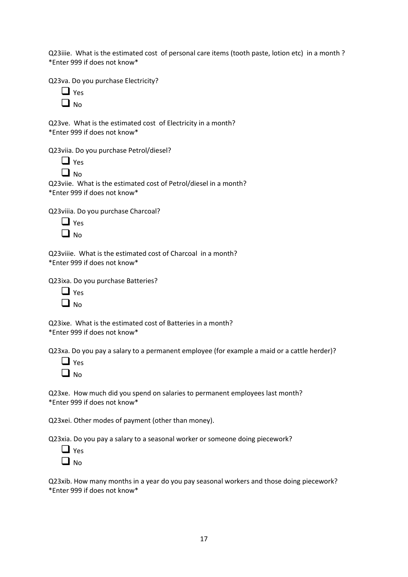Q23iiie. What is the estimated cost of personal care items (tooth paste, lotion etc) in a month ? \*Enter 999 if does not know\*

Q23va. Do you purchase Electricity?

| u |
|---|
|   |

Q23ve. What is the estimated cost of Electricity in a month? \*Enter 999 if does not know\*

Q23viia. Do you purchase Petrol/diesel?

❑ No Q23viie. What is the estimated cost of Petrol/diesel in a month?

\*Enter 999 if does not know\*

Q23viiia. Do you purchase Charcoal?

| I | S<br>↩ |
|---|--------|
| I | No     |

| Q23viiie. What is the estimated cost of Charcoal in a month? |  |
|--------------------------------------------------------------|--|
| *Enter 999 if does not know*                                 |  |

Q23ixa. Do you purchase Batteries?

| 1                      | es           |
|------------------------|--------------|
| L                      | <sup>o</sup> |
| $\mathbf{\mathcal{L}}$ | N            |

Q23ixe. What is the estimated cost of Batteries in a month? \*Enter 999 if does not know\*

Q23xa. Do you pay a salary to a permanent employee (for example a maid or a cattle herder)?



Q23xe. How much did you spend on salaries to permanent employees last month? \*Enter 999 if does not know\*

Q23xei. Other modes of payment (other than money).

Q23xia. Do you pay a salary to a seasonal worker or someone doing piecework?

| ı | s<br>ρ |
|---|--------|
| L | N٥     |

Q23xib. How many months in a year do you pay seasonal workers and those doing piecework? \*Enter 999 if does not know\*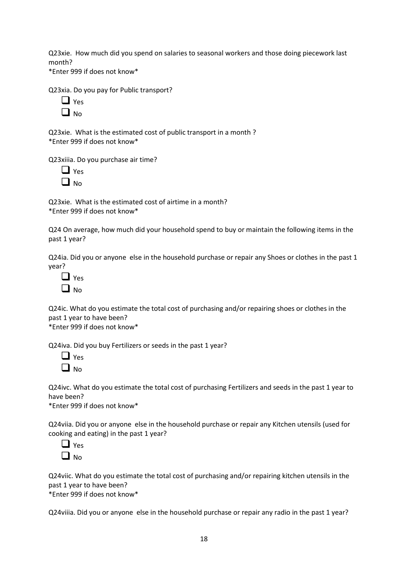Q23xie. How much did you spend on salaries to seasonal workers and those doing piecework last month?

\*Enter 999 if does not know\*

Q23xia. Do you pay for Public transport?

|   | ς<br>- |
|---|--------|
| I | n<br>Ŵ |

Q23xie. What is the estimated cost of public transport in a month ? \*Enter 999 if does not know\*

Q23xiiia. Do you purchase air time?

| 1              | es     |
|----------------|--------|
| $\blacksquare$ | o<br>N |

Q23xie. What is the estimated cost of airtime in a month? \*Enter 999 if does not know\*

Q24 On average, how much did your household spend to buy or maintain the following items in the past 1 year?

Q24ia. Did you or anyone else in the household purchase or repair any Shoes or clothes in the past 1 year?

| Yes |
|-----|
| N٥  |

Q24ic. What do you estimate the total cost of purchasing and/or repairing shoes or clothes in the past 1 year to have been?

\*Enter 999 if does not know\*

Q24iva. Did you buy Fertilizers or seeds in the past 1 year?

| 1 | es     |
|---|--------|
| L | o<br>N |

Q24ivc. What do you estimate the total cost of purchasing Fertilizers and seeds in the past 1 year to have been?

\*Enter 999 if does not know\*

Q24viia. Did you or anyone else in the household purchase or repair any Kitchen utensils (used for cooking and eating) in the past 1 year?

| 1       | Yes |
|---------|-----|
| i.<br>1 | N٥  |

Q24viic. What do you estimate the total cost of purchasing and/or repairing kitchen utensils in the past 1 year to have been?

\*Enter 999 if does not know\*

Q24viiia. Did you or anyone else in the household purchase or repair any radio in the past 1 year?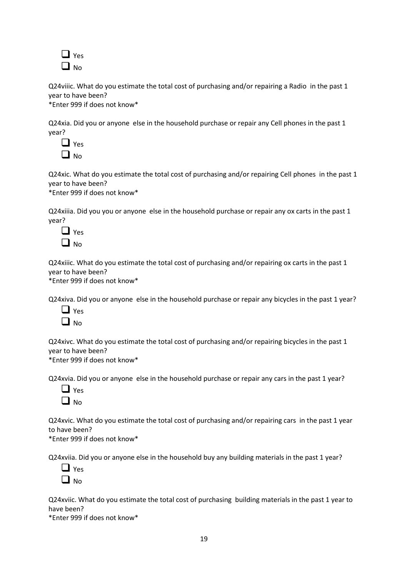

Q24viiic. What do you estimate the total cost of purchasing and/or repairing a Radio in the past 1 year to have been? \*Enter 999 if does not know\*

Q24xia. Did you or anyone else in the household purchase or repair any Cell phones in the past 1 year?

| u |
|---|
|   |

Q24xic. What do you estimate the total cost of purchasing and/or repairing Cell phones in the past 1 year to have been?

\*Enter 999 if does not know\*

Q24xiiia. Did you you or anyone else in the household purchase or repair any ox carts in the past 1 year?

| I | es |
|---|----|
|   | NΩ |

Q24xiiic. What do you estimate the total cost of purchasing and/or repairing ox carts in the past 1 year to have been?

\*Enter 999 if does not know\*

Q24xiva. Did you or anyone else in the household purchase or repair any bicycles in the past 1 year?



Q24xivc. What do you estimate the total cost of purchasing and/or repairing bicycles in the past 1 year to have been?

\*Enter 999 if does not know\*

Q24xvia. Did you or anyone else in the household purchase or repair any cars in the past 1 year?

| 1              | ς<br>ė |
|----------------|--------|
| $\blacksquare$ | O<br>N |

Q24xvic. What do you estimate the total cost of purchasing and/or repairing cars in the past 1 year to have been?

\*Enter 999 if does not know\*

Q24xviia. Did you or anyone else in the household buy any building materials in the past 1 year?

| L. | es |
|----|----|
| L  | o  |
| L  | N  |

Q24xviic. What do you estimate the total cost of purchasing building materials in the past 1 year to have been?

\*Enter 999 if does not know\*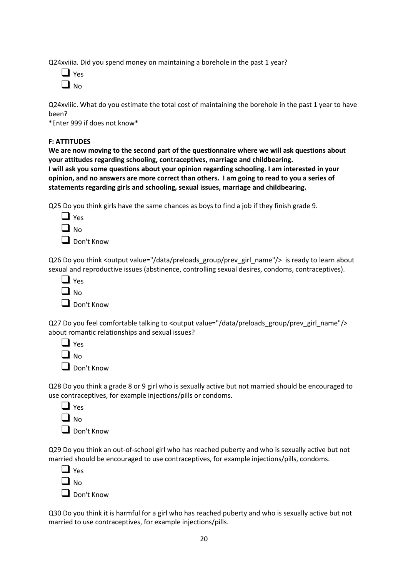Q24xviiia. Did you spend money on maintaining a borehole in the past 1 year?

| I | es |
|---|----|
|   | √ი |

Q24xviiic. What do you estimate the total cost of maintaining the borehole in the past 1 year to have been?

\*Enter 999 if does not know\*

## **F: ATTITUDES**

**We are now moving to the second part of the questionnaire where we will ask questions about your attitudes regarding schooling, contraceptives, marriage and childbearing. I will ask you some questions about your opinion regarding schooling. I am interested in your opinion, and no answers are more correct than others. I am going to read to you a series of statements regarding girls and schooling, sexual issues, marriage and childbearing.**

Q25 Do you think girls have the same chances as boys to find a job if they finish grade 9.

| 1 | es     |
|---|--------|
| L | o<br>N |

❑ Don't Know

Q26 Do you think <output value="/data/preloads\_group/prev\_girl\_name"/> is ready to learn about sexual and reproductive issues (abstinence, controlling sexual desires, condoms, contraceptives).

| Yes   |
|-------|
| l No  |
| Don't |

Q27 Do you feel comfortable talking to <output value="/data/preloads\_group/prev\_girl\_name"/> about romantic relationships and sexual issues?

| $\sqcup$ :   | Yes |
|--------------|-----|
| $\square$ No |     |
|              |     |

❑ Don't Know

Know

Q28 Do you think a grade 8 or 9 girl who is sexually active but not married should be encouraged to use contraceptives, for example injections/pills or condoms.

|   | Y<br>es |
|---|---------|
| L | N٥      |

❑ Don't Know

Q29 Do you think an out-of-school girl who has reached puberty and who is sexually active but not married should be encouraged to use contraceptives, for example injections/pills, condoms.

| $\Box$ Yes        |
|-------------------|
| $\Box$ No         |
| $\Box$ Don't Know |

Q30 Do you think it is harmful for a girl who has reached puberty and who is sexually active but not married to use contraceptives, for example injections/pills.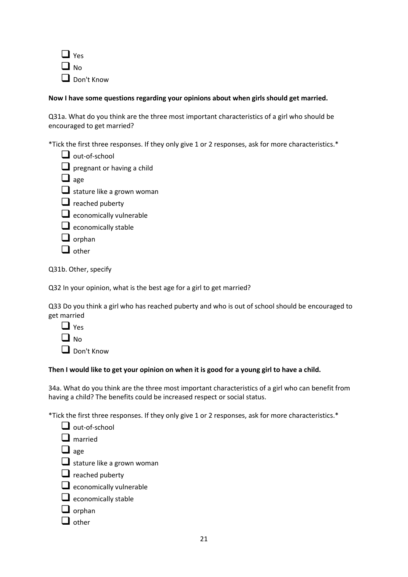

# **Now I have some questions regarding your opinions about when girls should get married.**

Q31a. What do you think are the three most important characteristics of a girl who should be encouraged to get married?

\*Tick the first three responses. If they only give 1 or 2 responses, ask for more characteristics.\*

- $\Box$  out-of-school
- □ pregnant or having a child
- ❑ age
- $\Box$  stature like a grown woman
- $\Box$  reached puberty
- □ economically vulnerable
- $\Box$  economically stable
- $\Box$  orphan
- ❑ other

Q31b. Other, specify

Q32 In your opinion, what is the best age for a girl to get married?

Q33 Do you think a girl who has reached puberty and who is out of school should be encouraged to get married

 $\Box$  Yes  $\Box$  No

❑ Don't Know

## **Then I would like to get your opinion on when it is good for a young girl to have a child.**

34a. What do you think are the three most important characteristics of a girl who can benefit from having a child? The benefits could be increased respect or social status.

\*Tick the first three responses. If they only give 1 or 2 responses, ask for more characteristics.\*

| $\Box$ out-of-school              |
|-----------------------------------|
| $\mathbf{l}$ married              |
| $\Box$ age                        |
| $\Box$ stature like a grown woman |
| $\Box$ reached puberty            |
| $\Box$ economically vulnerable    |
| $\Box$ economically stable        |
| $\Box$ orphan                     |
| other                             |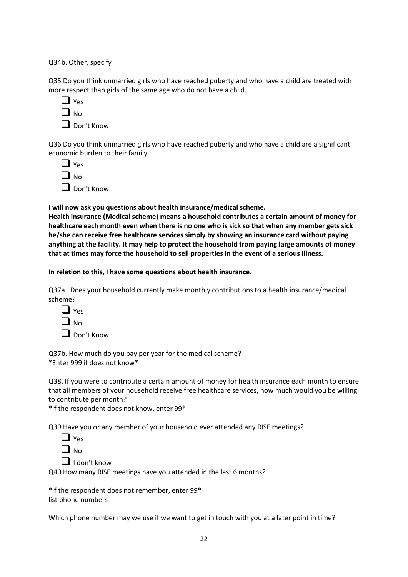Q34b. Other, specify

Q35 Do you think unmarried girls who have reached puberty and who have a child are treated with more respect than girls of the same age who do not have a child.

|   | es<br>γ۰ |
|---|----------|
| I | No       |
|   |          |

❑ Don't Know

Q36 Do you think unmarried girls who have reached puberty and who have a child are a significant economic burden to their family.

| Yes          |  |
|--------------|--|
| $\square$ No |  |
|              |  |

❑ Don't Know

**I will now ask you questions about health insurance/medical scheme.**

**Health insurance (Medical scheme) means a household contributes a certain amount of money for healthcare each month even when there is no one who is sick so that when any member gets sick he/she can receive free healthcare services simply by showing an insurance card without paying anything at the facility. It may help to protect the household from paying large amounts of money that at times may force the household to sell properties in the event of a serious illness.**

**In relation to this, I have some questions about health insurance.**

Q37a. Does your household currently make monthly contributions to a health insurance/medical scheme?



❑ Don't Know

Q37b. How much do you pay per year for the medical scheme? \*Enter 999 if does not know\*

Q38. If you were to contribute a certain amount of money for health insurance each month to ensure that all members of your household receive free healthcare services, how much would you be willing to contribute per month?

\*If the respondent does not know, enter 99\*

Q39 Have you or any member of your household ever attended any RISE meetings?

|--|

❑ I don't know

Q40 How many RISE meetings have you attended in the last 6 months?

\*If the respondent does not remember, enter 99\* list phone numbers

Which phone number may we use if we want to get in touch with you at a later point in time?